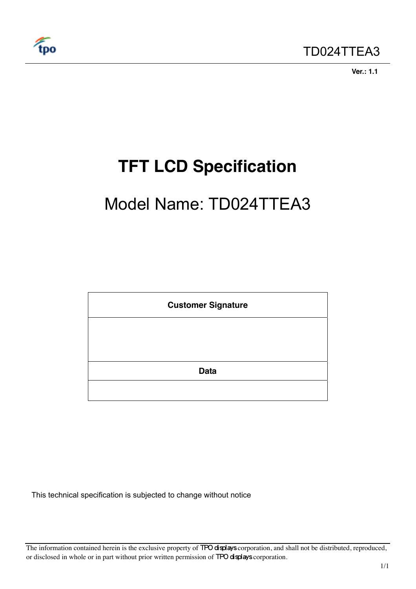

 **Ver.: 1.1** 

# **TFT LCD Specification**

# Model Name: TD024TTEA3



This technical specification is subjected to change without notice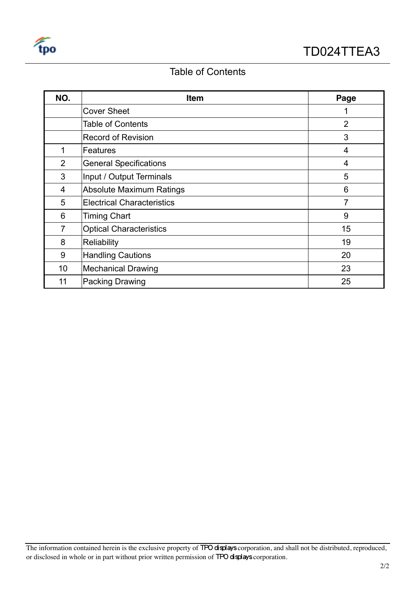

# Table of Contents

| NO.            | <b>Item</b>                       | Page           |
|----------------|-----------------------------------|----------------|
|                | <b>Cover Sheet</b>                |                |
|                | <b>Table of Contents</b>          | $\overline{2}$ |
|                | <b>Record of Revision</b>         | 3              |
| 1              | Features                          | 4              |
| 2              | <b>General Specifications</b>     | 4              |
| 3              | Input / Output Terminals          | 5              |
| 4              | <b>Absolute Maximum Ratings</b>   | 6              |
| 5              | <b>Electrical Characteristics</b> | $\overline{7}$ |
| 6              | <b>Timing Chart</b>               | 9              |
| $\overline{7}$ | <b>Optical Characteristics</b>    | 15             |
| 8              | <b>Reliability</b>                | 19             |
| 9              | <b>Handling Cautions</b>          | 20             |
| 10             | <b>Mechanical Drawing</b>         | 23             |
| 11             | <b>Packing Drawing</b>            | 25             |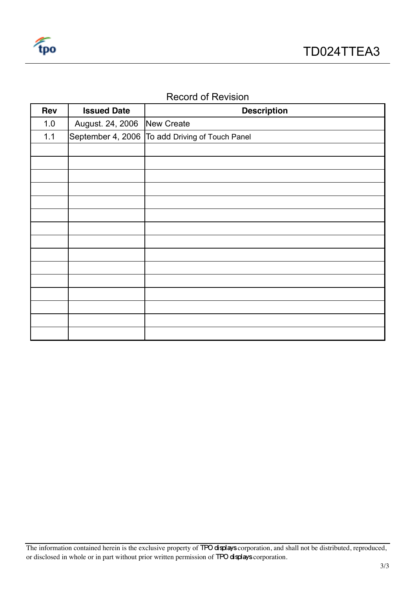

# Record of Revision

| Rev   | <b>Issued Date</b> | <b>Description</b>                              |
|-------|--------------------|-------------------------------------------------|
| 1.0   | August. 24, 2006   | New Create                                      |
| $1.1$ |                    | September 4, 2006 To add Driving of Touch Panel |
|       |                    |                                                 |
|       |                    |                                                 |
|       |                    |                                                 |
|       |                    |                                                 |
|       |                    |                                                 |
|       |                    |                                                 |
|       |                    |                                                 |
|       |                    |                                                 |
|       |                    |                                                 |
|       |                    |                                                 |
|       |                    |                                                 |
|       |                    |                                                 |
|       |                    |                                                 |
|       |                    |                                                 |
|       |                    |                                                 |

The information contained herein is the exclusive property of TPO displays corporation, and shall not be distributed, reproduced, or disclosed in whole or in part without prior written permission of TPO displays corporation.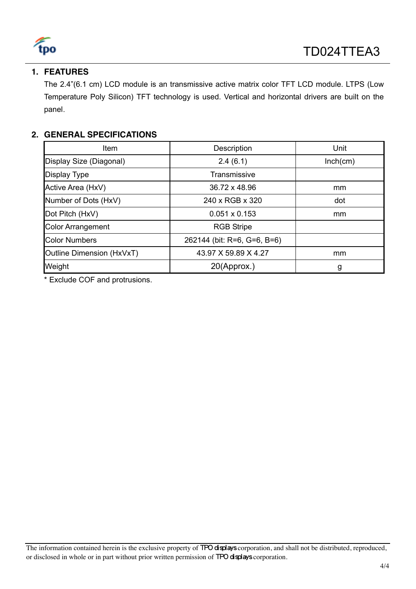

# **1. FEATURES**

The 2.4"(6.1 cm) LCD module is an transmissive active matrix color TFT LCD module. LTPS (Low Temperature Poly Silicon) TFT technology is used. Vertical and horizontal drivers are built on the panel.

# **2. GENERAL SPECIFICATIONS**

| Item                      | Description                 | Unit     |
|---------------------------|-----------------------------|----------|
| Display Size (Diagonal)   | 2.4(6.1)                    | Inch(cm) |
| <b>Display Type</b>       | Transmissive                |          |
| Active Area (HxV)         | 36.72 x 48.96               | mm       |
| Number of Dots (HxV)      | 240 x RGB x 320             | dot      |
| Dot Pitch (HxV)           | $0.051 \times 0.153$        | mm       |
| <b>Color Arrangement</b>  | <b>RGB Stripe</b>           |          |
| <b>Color Numbers</b>      | 262144 (bit: R=6, G=6, B=6) |          |
| Outline Dimension (HxVxT) | 43.97 X 59.89 X 4.27        | mm       |
| Weight                    | 20(Approx.)                 | g        |

\* Exclude COF and protrusions.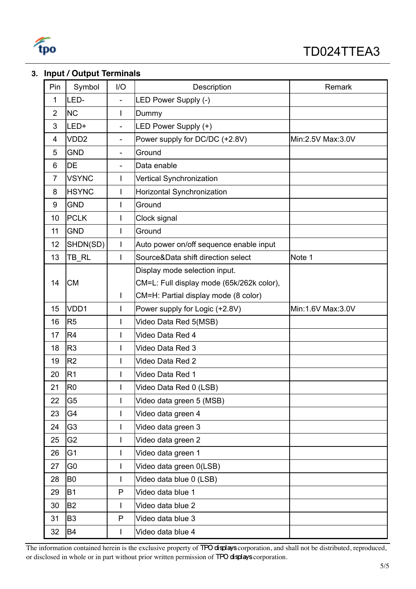

# **3. Input / Output Terminals**

| Pin            | Symbol           | 1/O                      | Description                               | Remark            |
|----------------|------------------|--------------------------|-------------------------------------------|-------------------|
| 1              | LED-             |                          | LED Power Supply (-)                      |                   |
| $\overline{2}$ | <b>NC</b>        | L                        | Dummy                                     |                   |
| 3              | LED+             |                          | LED Power Supply (+)                      |                   |
| 4              | VDD <sub>2</sub> | $\overline{\phantom{a}}$ | Power supply for DC/DC (+2.8V)            | Min:2.5V Max:3.0V |
| 5              | <b>GND</b>       | $\overline{\phantom{a}}$ | Ground                                    |                   |
| 6              | DE               |                          | Data enable                               |                   |
| $\overline{7}$ | <b>VSYNC</b>     |                          | Vertical Synchronization                  |                   |
| 8              | <b>HSYNC</b>     |                          | Horizontal Synchronization                |                   |
| 9              | <b>GND</b>       | I                        | Ground                                    |                   |
| 10             | <b>PCLK</b>      |                          | Clock signal                              |                   |
| 11             | <b>GND</b>       | L                        | Ground                                    |                   |
| 12             | SHDN(SD)         |                          | Auto power on/off sequence enable input   |                   |
| 13             | TB_RL            | $\mathbf{I}$             | Source&Data shift direction select        | Note 1            |
|                |                  |                          | Display mode selection input.             |                   |
| 14             | <b>CM</b>        |                          | CM=L: Full display mode (65k/262k color), |                   |
|                |                  | $\mathsf{I}$             | CM=H: Partial display mode (8 color)      |                   |
| 15             | VDD1             | I                        | Power supply for Logic (+2.8V)            | Min:1.6V Max:3.0V |
| 16             | R <sub>5</sub>   | L                        | Video Data Red 5(MSB)                     |                   |
| 17             | R <sub>4</sub>   |                          | Video Data Red 4                          |                   |
| 18             | R <sub>3</sub>   | I                        | Video Data Red 3                          |                   |
| 19             | R <sub>2</sub>   | I                        | Video Data Red 2                          |                   |
| 20             | R <sub>1</sub>   |                          | Video Data Red 1                          |                   |
| 21             | R <sub>0</sub>   | I                        | Video Data Red 0 (LSB)                    |                   |
| 22             | G <sub>5</sub>   | I                        | Video data green 5 (MSB)                  |                   |
| 23             | G4               |                          | Video data green 4                        |                   |
| 24             | G <sub>3</sub>   | L                        | Video data green 3                        |                   |
| 25             | G <sub>2</sub>   |                          | Video data green 2                        |                   |
| 26             | G <sub>1</sub>   | L                        | Video data green 1                        |                   |
| 27             | G <sub>0</sub>   |                          | Video data green 0(LSB)                   |                   |
| 28             | B <sub>0</sub>   |                          | Video data blue 0 (LSB)                   |                   |
| 29             | <b>B1</b>        | P                        | Video data blue 1                         |                   |
| 30             | <b>B2</b>        | $\mathbf{I}$             | Video data blue 2                         |                   |
| 31             | B <sub>3</sub>   | P                        | Video data blue 3                         |                   |
| 32             | <b>B4</b>        | $\mathbf{I}$             | Video data blue 4                         |                   |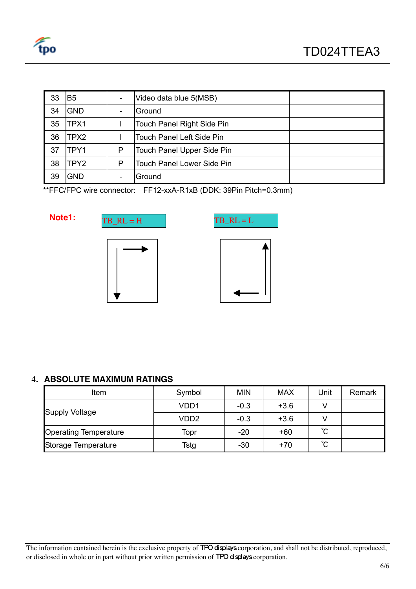

| 33 | B <sub>5</sub>   |   | Video data blue 5(MSB)            |  |
|----|------------------|---|-----------------------------------|--|
| 34 | <b>GND</b>       |   | Ground                            |  |
| 35 | TPX1             |   | Touch Panel Right Side Pin        |  |
| 36 | TPX2             |   | Touch Panel Left Side Pin         |  |
| 37 | TPY1             | P | Touch Panel Upper Side Pin        |  |
| 38 | TPY <sub>2</sub> | P | <b>Touch Panel Lower Side Pin</b> |  |
| 39 | <b>GND</b>       |   | Ground                            |  |

\*\*FFC/FPC wire connector: FF12-xxA-R1xB (DDK: 39Pin Pitch=0.3mm)







# **4. ABSOLUTE MAXIMUM RATINGS**

| Item                         | Symbol            | <b>MIN</b> | <b>MAX</b> | Unit         | Remark |
|------------------------------|-------------------|------------|------------|--------------|--------|
|                              | VD <sub>D</sub> 1 | $-0.3$     | $+3.6$     |              |        |
| <b>Supply Voltage</b>        | VD <sub>D</sub> 2 | $-0.3$     | $+3.6$     |              |        |
| <b>Operating Temperature</b> | Topr              | $-20$      | $+60$      | $^{\circ}$ C |        |
| Storage Temperature          | Tstg              | $-30$      | $+70$      | °С           |        |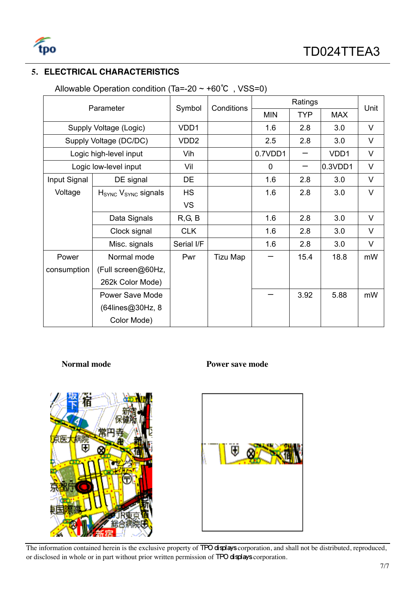

# **5. ELECTRICAL CHARACTERISTICS**

| Parameter    |                                             |                  | Conditions      |            | Unit       |            |        |
|--------------|---------------------------------------------|------------------|-----------------|------------|------------|------------|--------|
|              |                                             | Symbol           |                 | <b>MIN</b> | <b>TYP</b> | <b>MAX</b> |        |
|              | Supply Voltage (Logic)                      | VDD1             |                 | 1.6        | 2.8        | 3.0        | $\vee$ |
|              | Supply Voltage (DC/DC)                      | VDD <sub>2</sub> |                 | 2.5        | 2.8        | 3.0        | $\vee$ |
|              | Logic high-level input                      | Vih              |                 | 0.7VDD1    | —          | VDD1       | $\vee$ |
|              | Logic low-level input                       | Vil              |                 | 0          |            | 0.3VDD1    | $\vee$ |
| Input Signal | DE signal                                   | DE               |                 | 1.6        | 2.8        | 3.0        | $\vee$ |
| Voltage      | H <sub>SYNC</sub> V <sub>SYNC</sub> signals | <b>HS</b>        |                 | 1.6        | 2.8        | 3.0        | $\vee$ |
|              |                                             | <b>VS</b>        |                 |            |            |            |        |
|              | Data Signals                                | R, G, B          |                 | 1.6        | 2.8        | 3.0        | $\vee$ |
|              | Clock signal                                | <b>CLK</b>       |                 | 1.6        | 2.8        | 3.0        | $\vee$ |
|              | Misc. signals                               | Serial I/F       |                 | 1.6        | 2.8        | 3.0        | V      |
| Power        | Normal mode                                 | Pwr              | <b>Tizu Map</b> |            | 15.4       | 18.8       | mW     |
| consumption  | (Full screen@60Hz,                          |                  |                 |            |            |            |        |
|              | 262k Color Mode)                            |                  |                 |            |            |            |        |
|              | Power Save Mode                             |                  |                 |            | 3.92       | 5.88       | mW     |
|              | (64lines@30Hz, 8                            |                  |                 |            |            |            |        |
|              | Color Mode)                                 |                  |                 |            |            |            |        |

Allowable Operation condition (Ta=-20 ~ +60℃ , VSS=0)



# **Normal mode Power save mode**

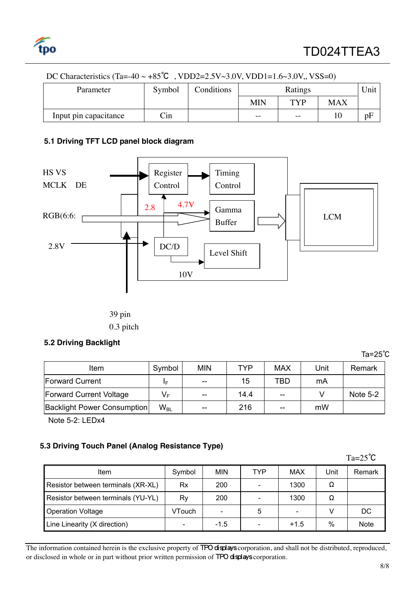

| Parameter             | Symbol               | Conditions |            | Ratings           |     | <b>Jnit</b> |  |  |  |
|-----------------------|----------------------|------------|------------|-------------------|-----|-------------|--|--|--|
|                       |                      |            | <b>MIN</b> | TVP               | MAX |             |  |  |  |
| Input pin capacitance | $\operatorname{Cin}$ |            | $- -$      | $\qquad \qquad -$ |     | pF          |  |  |  |

# DC Characteristics (Ta=-40 ~ +85<sup>°</sup>C, VDD2=2.5V~3.0V, VDD1=1.6~3.0V, VSS=0)

## **5.1 Driving TFT LCD panel block diagram**



0.3 pitch

### **5.2 Driving Backlight**

| ltem                               | Symbol   | <b>MIN</b> | TYP  | <b>MAX</b> | Unit | Remark          |
|------------------------------------|----------|------------|------|------------|------|-----------------|
| <b>Forward Current</b>             | IΕ       | $- -$      | 15   | TBD        | mA   |                 |
| <b>Forward Current Voltage</b>     | $V_F$    | $- -$      | 14.4 | $-$        |      | <b>Note 5-2</b> |
| <b>Backlight Power Consumption</b> | $W_{BL}$ | $- -$      | 216  | $- -$      | mW   |                 |

Note 5-2: LEDx4

# **5.3 Driving Touch Panel (Analog Resistance Type)**

|                                    |        |            |            |            |      | $Ta=25^{\circ}C$ |
|------------------------------------|--------|------------|------------|------------|------|------------------|
| ltem                               | Symbol | <b>MIN</b> | <b>TYP</b> | <b>MAX</b> | Unit | Remark           |
| Resistor between terminals (XR-XL) | Rx     | 200        |            | 1300       | Ω    |                  |
| Resistor between terminals (YU-YL) | Ry     | 200        |            | 1300       | Ω    |                  |
| <b>Operation Voltage</b>           | VTouch |            | 5          |            |      | DC               |
| Line Linearity (X direction)       |        | $-1.5$     |            | $+1.5$     | $\%$ | <b>Note</b>      |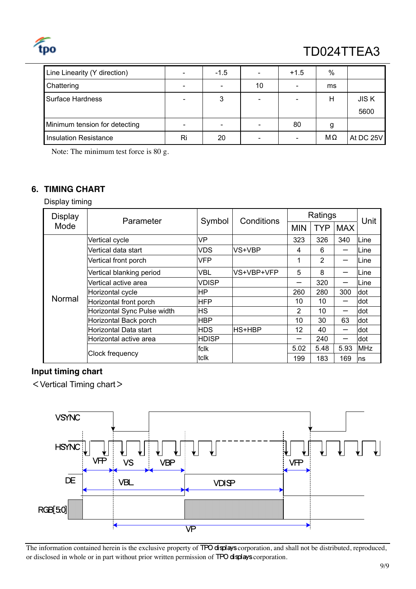

# TD024TTEA3

| Line Linearity (Y direction)  | $\overline{\phantom{a}}$ | $-1.5$                   |    | $+1.5$ | %  |             |
|-------------------------------|--------------------------|--------------------------|----|--------|----|-------------|
| Chattering                    | $\overline{\phantom{a}}$ | $\overline{\phantom{0}}$ | 10 | -      | ms |             |
| Surface Hardness              | $\overline{\phantom{a}}$ | 3                        |    |        | Н  | <b>JISK</b> |
|                               |                          |                          |    |        |    | 5600        |
| Minimum tension for detecting | $\qquad \qquad$          | $\overline{\phantom{a}}$ |    | 80     | g  |             |
| <b>Insulation Resistance</b>  | Ri                       | 20                       |    |        | MΩ | At DC 25V   |

Note: The minimum test force is 80 g.

# **6. TIMING CHART**

Display timing

| <b>Display</b> | Parameter                   | Symbol       | Conditions | Ratings        |                |            | Unit       |
|----------------|-----------------------------|--------------|------------|----------------|----------------|------------|------------|
| Mode           |                             |              |            | <b>MIN</b>     | <b>TYP</b>     | <b>MAX</b> |            |
|                | Vertical cycle              | VP           |            | 323            | 326            | 340        | Line       |
|                | Vertical data start         | <b>VDS</b>   | VS+VBP     | 4              | 6              |            | Line       |
|                | Vertical front porch        | <b>VFP</b>   |            | 1              | $\overline{2}$ |            | Line       |
|                | Vertical blanking period    | <b>VBL</b>   | VS+VBP+VFP | 5              | 8              |            | Line       |
|                | Vertical active area        | <b>VDISP</b> |            |                | 320            |            | Line       |
|                | Horizontal cycle            | HP           |            | 260            | 280            | 300        | dot        |
| Normal         | Horizontal front porch      | <b>HFP</b>   |            | 10             | 10             |            | dot        |
|                | Horizontal Sync Pulse width | <b>HS</b>    |            | $\overline{2}$ | 10             |            | dot        |
|                | Horizontal Back porch       | <b>HBP</b>   |            | 10             | 30             | 63         | dot        |
|                | Horizontal Data start       | <b>HDS</b>   | HS+HBP     | 12             | 40             |            | dot        |
|                | Horizontal active area      | <b>HDISP</b> |            |                | 240            |            | dot        |
|                |                             | fclk         |            | 5.02           | 5.48           | 5.93       | <b>MHz</b> |
|                | <b>Clock frequency</b>      | tclk         |            | 199            | 183            | 169        | ns         |

# **Input timing chart**

<Vertical Timing chart>

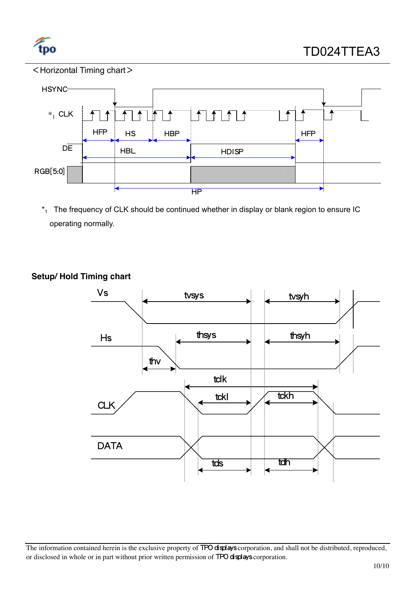

# <Horizontal Timing chart>



 $*_1$  The frequency of CLK should be continued whether in display or blank region to ensure IC operating normally.



# **Setup/ Hold Timing chart**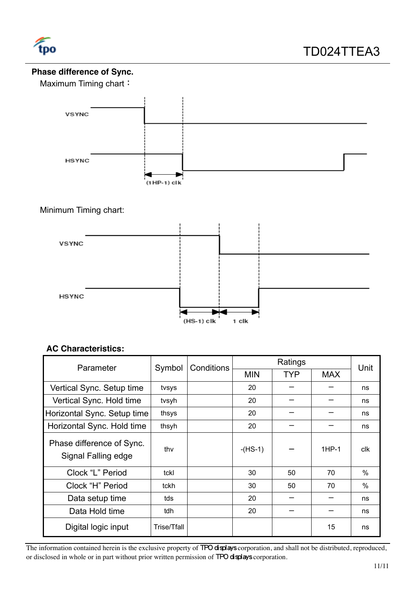

# **Phase difference of Sync.**

Maximum Timing chart:



# Minimum Timing chart:



# **AC Characteristics:**

| Parameter                                        | Symbol      | Conditions |            | Unit       |            |      |
|--------------------------------------------------|-------------|------------|------------|------------|------------|------|
|                                                  |             |            | <b>MIN</b> | <b>TYP</b> | <b>MAX</b> |      |
| Vertical Sync. Setup time                        | tvsys       |            | 20         |            |            | ns   |
| Vertical Sync. Hold time                         | tvsyh       |            | 20         |            |            | ns   |
| Horizontal Sync. Setup time                      | thsys       |            | 20         |            |            | ns   |
| Horizontal Sync. Hold time                       | thsyh       |            | 20         |            |            | ns   |
| Phase difference of Sync.<br>Signal Falling edge | thy         |            | $-HS-1$    |            | $1HP-1$    | clk  |
| Clock "L" Period                                 | tckl        |            | 30         | 50         | 70         | $\%$ |
| Clock "H" Period                                 | tckh        |            | 30         | 50         | 70         | %    |
| Data setup time                                  | tds         |            | 20         |            |            | ns   |
| Data Hold time                                   | tdh         |            | 20         |            |            | ns   |
| Digital logic input                              | Trise/Tfall |            |            |            | 15         | ns   |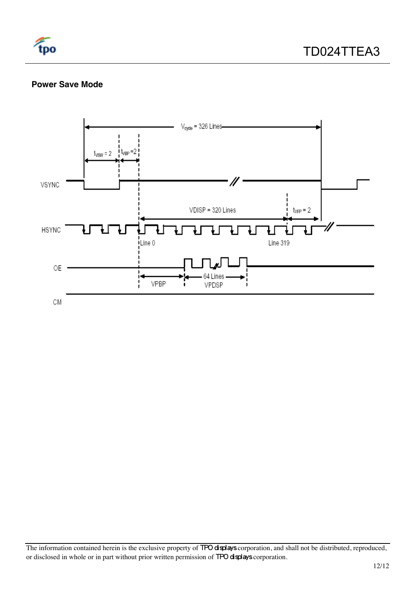

# **Power Save Mode**

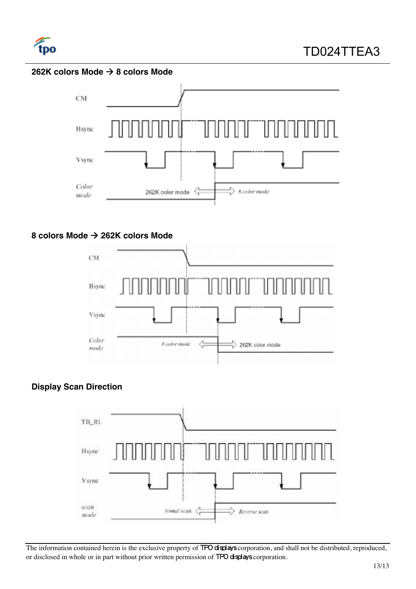

# **262K colors Mode → 8 colors Mode**



# **8 colors Mode → 262K colors Mode**



# **Display Scan Direction**

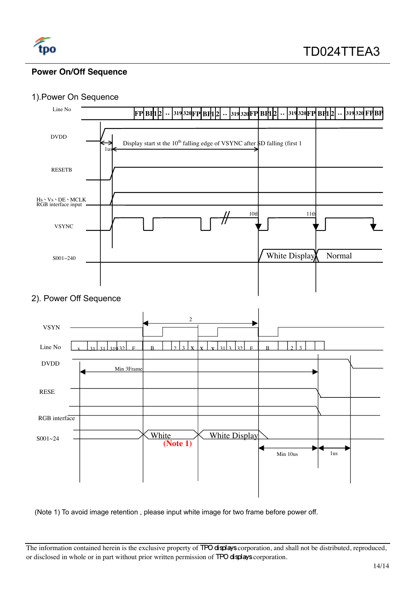

# **Power On/Off Sequence**

# 1).Power On Sequence



(Note 1) To avoid image retention , please input white image for two frame before power off.

The information contained herein is the exclusive property of TPO displays corporation, and shall not be distributed, reproduced, or disclosed in whole or in part without prior written permission of TPO displays corporation.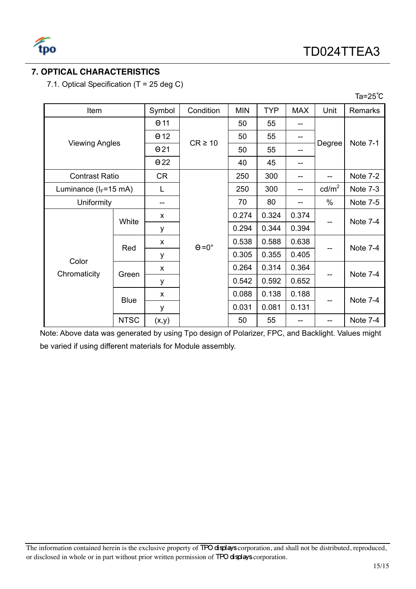

# **7. OPTICAL CHARACTERISTICS**

7.1. Optical Specification (T = 25 deg C)

| Item                      |             | Symbol       | Condition            | <b>MIN</b> | <b>TYP</b> | <b>MAX</b> | Unit            | <b>Remarks</b>  |
|---------------------------|-------------|--------------|----------------------|------------|------------|------------|-----------------|-----------------|
| <b>Viewing Angles</b>     |             | $\Theta$ 11  | $CR \ge 10$          | 50         | 55         |            | Degree          |                 |
|                           |             | $\Theta$ 12  |                      | 50         | 55         | --         |                 | <b>Note 7-1</b> |
|                           |             | $\Theta$ 21  |                      | 50         | 55         |            |                 |                 |
|                           |             | $\Theta$ 22  |                      | 40         | 45         | --         |                 |                 |
| <b>Contrast Ratio</b>     |             | CR           |                      | 250        | 300        | --         |                 | Note 7-2        |
| Luminance ( $I_F$ =15 mA) |             | L            |                      | 250        | 300        |            | $\text{cd/m}^2$ | Note 7-3        |
| Uniformity                |             |              |                      | 70         | 80         |            | $\%$            | Note 7-5        |
|                           |             | X            | $\Theta = 0^{\circ}$ | 0.274      | 0.324      | 0.374      |                 | Note 7-4        |
|                           | White       | у            |                      | 0.294      | 0.344      | 0.394      |                 |                 |
|                           | Red         | x            |                      | 0.538      | 0.588      | 0.638      |                 | Note 7-4        |
|                           |             | у            |                      | 0.305      | 0.355      | 0.405      |                 |                 |
| Color                     | Green       | X            |                      | 0.264      | 0.314      | 0.364      |                 | Note 7-4        |
| Chromaticity              |             | y            |                      | 0.542      | 0.592      | 0.652      |                 |                 |
|                           | <b>Blue</b> | $\mathsf{x}$ |                      | 0.088      | 0.138      | 0.188      |                 | Note 7-4        |
|                           |             | y            |                      | 0.031      | 0.081      | 0.131      |                 |                 |
|                           | <b>NTSC</b> | (x,y)        |                      | 50         | 55         |            | --              | Note 7-4        |

Note: Above data was generated by using Tpo design of Polarizer, FPC, and Backlight. Values might be varied if using different materials for Module assembly.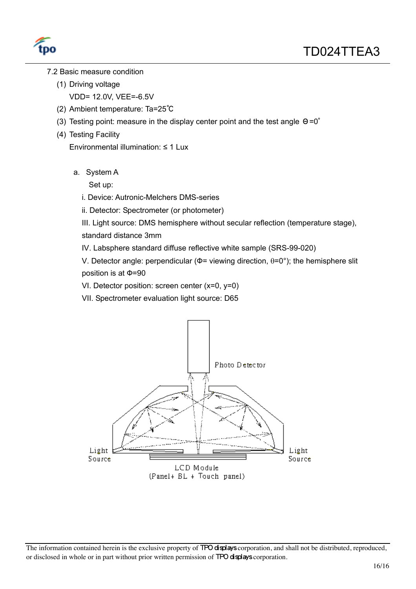

- 7.2 Basic measure condition
	- (1) Driving voltage
		- VDD= 12.0V, VEE=-6.5V
	- (2) Ambient temperature: Ta=25℃
	- (3) Testing point: measure in the display center point and the test angle Θ=0∘
	- (4) Testing Facility

Environmental illumination:  $\leq 1$  Lux

a. System A

Set up:

- i. Device: Autronic-Melchers DMS-series
- ii. Detector: Spectrometer (or photometer)
- III. Light source: DMS hemisphere without secular reflection (temperature stage),

standard distance 3mm

IV. Labsphere standard diffuse reflective white sample (SRS-99-020)

V. Detector angle: perpendicular ( $\Phi$ = viewing direction,  $\theta$ =0°); the hemisphere slit position is at  $\Phi$ =90

VI. Detector position: screen center (x=0, y=0)

VII. Spectrometer evaluation light source: D65

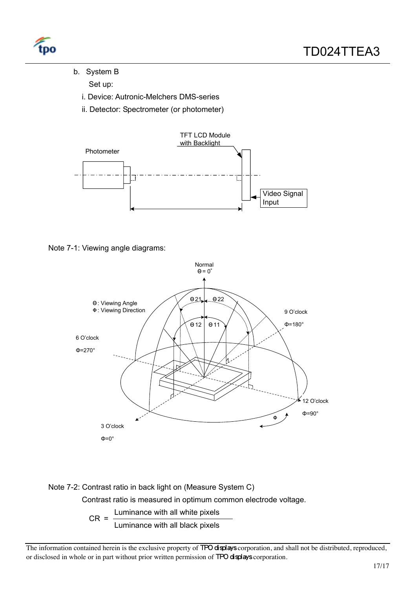

b. System B

Set up:

- i. Device: Autronic-Melchers DMS-series
- ii. Detector: Spectrometer (or photometer)









 $CR =$  Luminance with all white pixels

Luminance with all black pixels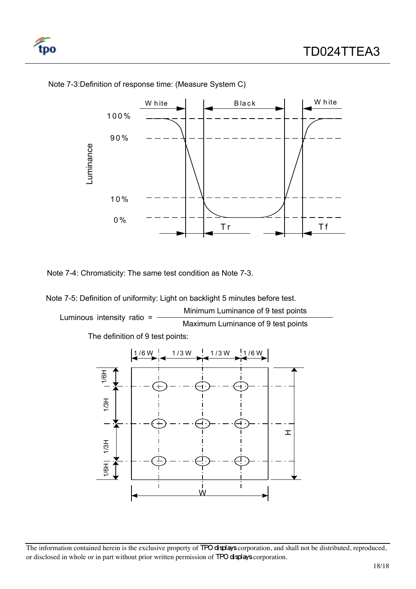



Note 7-3:Definition of response time: (Measure System C)

Note 7-4: Chromaticity: The same test condition as Note 7-3.

Note 7-5: Definition of uniformity: Light on backlight 5 minutes before test. Luminous intensity ratio = Minimum Luminance of 9 test points<br>Maximum Luminance of 9 test points

The definition of 9 test points:

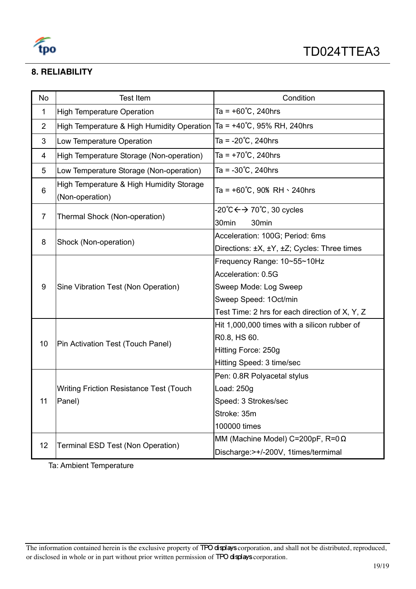

# **8. RELIABILITY**

| <b>No</b>      | <b>Test Item</b>                                            | Condition                                              |
|----------------|-------------------------------------------------------------|--------------------------------------------------------|
| 1              | <b>High Temperature Operation</b>                           | Ta = $+60^{\circ}$ C, 240hrs                           |
| $\overline{2}$ | High Temperature & High Humidity Operation                  | Ta = $+40^{\circ}$ C, 95% RH, 240hrs                   |
| 3              | Low Temperature Operation                                   | Ta = $-20^{\circ}$ C, 240hrs                           |
| 4              | High Temperature Storage (Non-operation)                    | Ta = $+70^{\circ}$ C, 240hrs                           |
| 5              | Low Temperature Storage (Non-operation)                     | Ta = $-30^{\circ}$ C, 240hrs                           |
| 6              | High Temperature & High Humidity Storage<br>(Non-operation) | Ta = $+60^{\circ}$ C, 90% RH $\cdot$ 240hrs            |
| 7              |                                                             | $-20^{\circ}C \leftrightarrow 70^{\circ}C$ , 30 cycles |
|                | Thermal Shock (Non-operation)                               | 30min<br>30min                                         |
| 8              | Shock (Non-operation)                                       | Acceleration: 100G; Period: 6ms                        |
|                |                                                             | Directions: ±X, ±Y, ±Z; Cycles: Three times            |
|                |                                                             | Frequency Range: 10~55~10Hz                            |
|                |                                                             | Acceleration: 0.5G                                     |
| 9              | Sine Vibration Test (Non Operation)                         | Sweep Mode: Log Sweep                                  |
|                |                                                             | Sweep Speed: 1Oct/min                                  |
|                |                                                             | Test Time: 2 hrs for each direction of X, Y, Z         |
|                | Pin Activation Test (Touch Panel)                           | Hit 1,000,000 times with a silicon rubber of           |
| 10             |                                                             | R0.8, HS 60.                                           |
|                |                                                             | Hitting Force: 250g                                    |
|                |                                                             | Hitting Speed: 3 time/sec                              |
|                |                                                             | Pen: 0.8R Polyacetal stylus                            |
| 11             | <b>Writing Friction Resistance Test (Touch</b>              | Load: 250g                                             |
|                | Panel)                                                      | Speed: 3 Strokes/sec                                   |
|                |                                                             | Stroke: 35m                                            |
|                |                                                             | 100000 times                                           |
|                |                                                             | MM (Machine Model) C=200pF, R=0 $\Omega$               |
| 12             | Terminal ESD Test (Non Operation)                           | Discharge:>+/-200V, 1times/termimal                    |

Ta: Ambient Temperature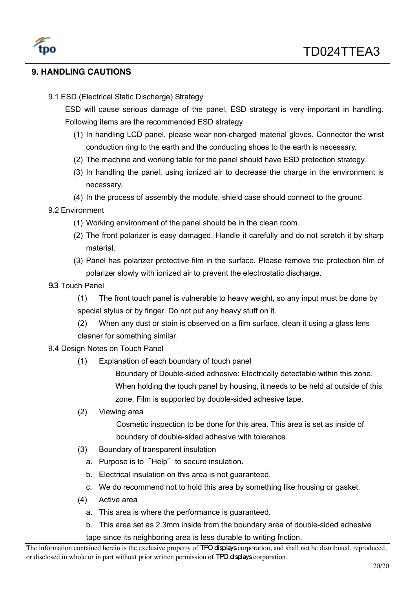

# **9. HANDLING CAUTIONS**

9.1 ESD (Electrical Static Discharge) Strategy

ESD will cause serious damage of the panel, ESD strategy is very important in handling. Following items are the recommended ESD strategy

- (1) In handling LCD panel, please wear non-charged material gloves. Connector the wrist conduction ring to the earth and the conducting shoes to the earth is necessary.
- (2) The machine and working table for the panel should have ESD protection strategy.
- (3) In handling the panel, using ionized air to decrease the charge in the environment is necessary.
- (4) In the process of assembly the module, shield case should connect to the ground.

## 9.2 Environment

- (1) Working environment of the panel should be in the clean room.
- (2) The front polarizer is easy damaged. Handle it carefully and do not scratch it by sharp material.
- (3) Panel has polarizer protective film in the surface. Please remove the protection film of polarizer slowly with ionized air to prevent the electrostatic discharge.
- 9.3 Touch Panel
	- (1) The front touch panel is vulnerable to heavy weight, so any input must be done by special stylus or by finger. Do not put any heavy stuff on it.
	- (2) When any dust or stain is observed on a film surface, clean it using a glass lens cleaner for something similar.

### 9.4 Design Notes on Touch Panel

(1) Explanation of each boundary of touch panel

Boundary of Double-sided adhesive: Electrically detectable within this zone. When holding the touch panel by housing, it needs to be held at outside of this zone. Film is supported by double-sided adhesive tape.

(2) Viewing area

Cosmetic inspection to be done for this area. This area is set as inside of boundary of double-sided adhesive with tolerance.

- (3) Boundary of transparent insulation
	- a. Purpose is to "Help" to secure insulation.
	- b. Electrical insulation on this area is not guaranteed.
	- c. We do recommend not to hold this area by something like housing or gasket.
- (4) Active area
	- a. This area is where the performance is guaranteed.
	- b. This area set as 2.3mm inside from the boundary area of double-sided adhesive

tape since its neighboring area is less durable to writing friction.

The information contained herein is the exclusive property of **TPO displays** corporation, and shall not be distributed, reproduced, or disclosed in whole or in part without prior written permission of TPO displays corporation.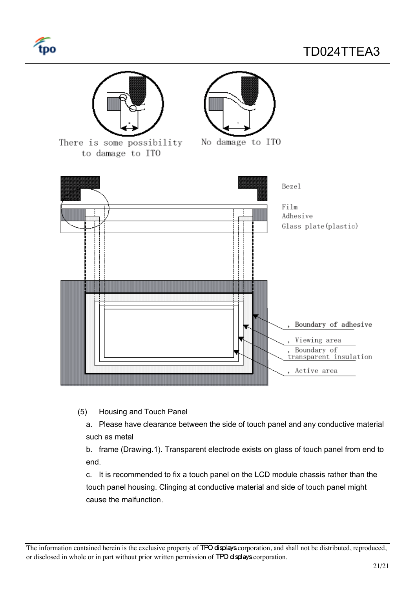



(5) Housing and Touch Panel

a. Please have clearance between the side of touch panel and any conductive material such as metal

b. frame (Drawing.1). Transparent electrode exists on glass of touch panel from end to end.

c. It is recommended to fix a touch panel on the LCD module chassis rather than the touch panel housing. Clinging at conductive material and side of touch panel might cause the malfunction.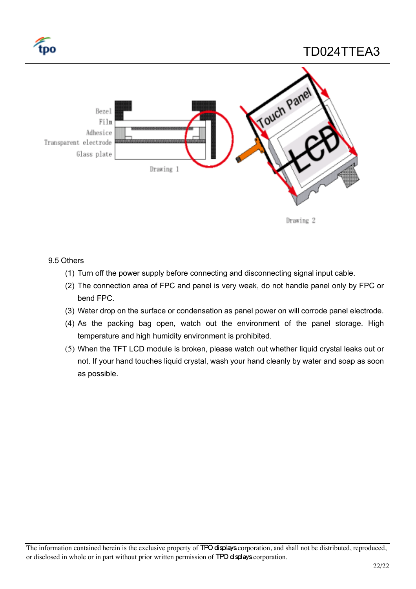

# TD024TTEA3



### 9.5 Others

- (1) Turn off the power supply before connecting and disconnecting signal input cable.
- (2) The connection area of FPC and panel is very weak, do not handle panel only by FPC or bend FPC.
- (3) Water drop on the surface or condensation as panel power on will corrode panel electrode.
- (4) As the packing bag open, watch out the environment of the panel storage. High temperature and high humidity environment is prohibited.
- (5) When the TFT LCD module is broken, please watch out whether liquid crystal leaks out or not. If your hand touches liquid crystal, wash your hand cleanly by water and soap as soon as possible.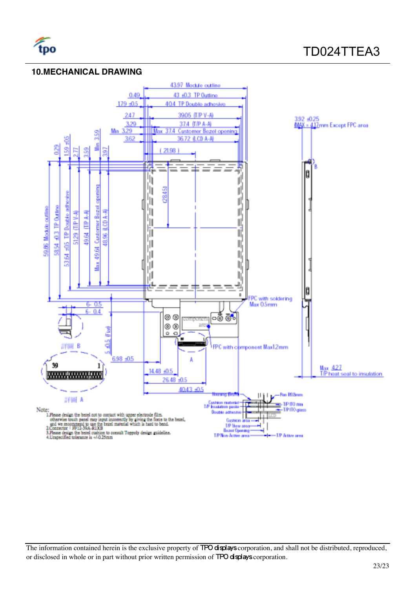

# **10.MECHANICAL DRAWING**

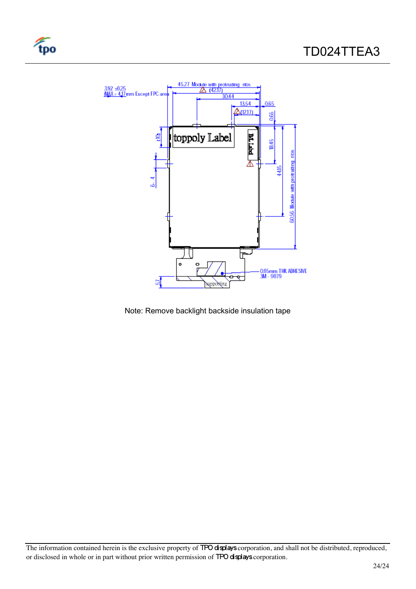

tpo

Note: Remove backlight backside insulation tape

The information contained herein is the exclusive property of TPO displays corporation, and shall not be distributed, reproduced, or disclosed in whole or in part without prior written permission of TPO displays corporation.